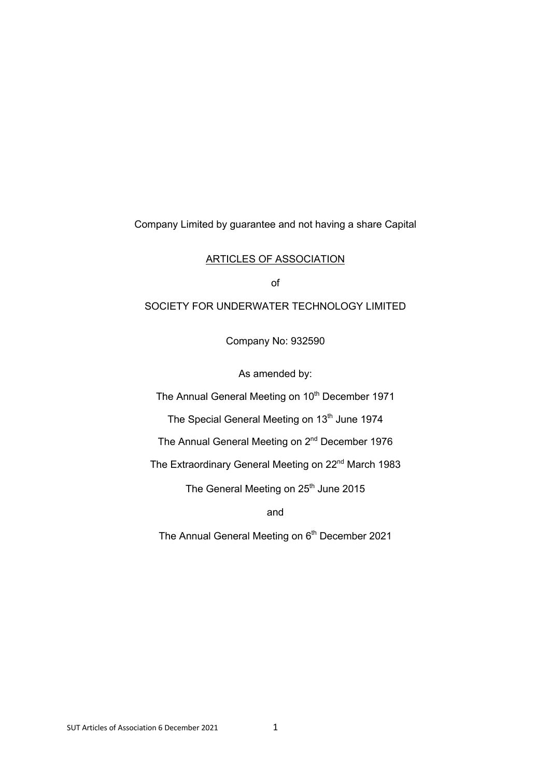Company Limited by guarantee and not having a share Capital

### ARTICLES OF ASSOCIATION

of

# SOCIETY FOR UNDERWATER TECHNOLOGY LIMITED

Company No: 932590

As amended by:

The Annual General Meeting on 10<sup>th</sup> December 1971

The Special General Meeting on 13<sup>th</sup> June 1974

The Annual General Meeting on 2<sup>nd</sup> December 1976

The Extraordinary General Meeting on 22<sup>nd</sup> March 1983

The General Meeting on 25<sup>th</sup> June 2015

and

The Annual General Meeting on 6<sup>th</sup> December 2021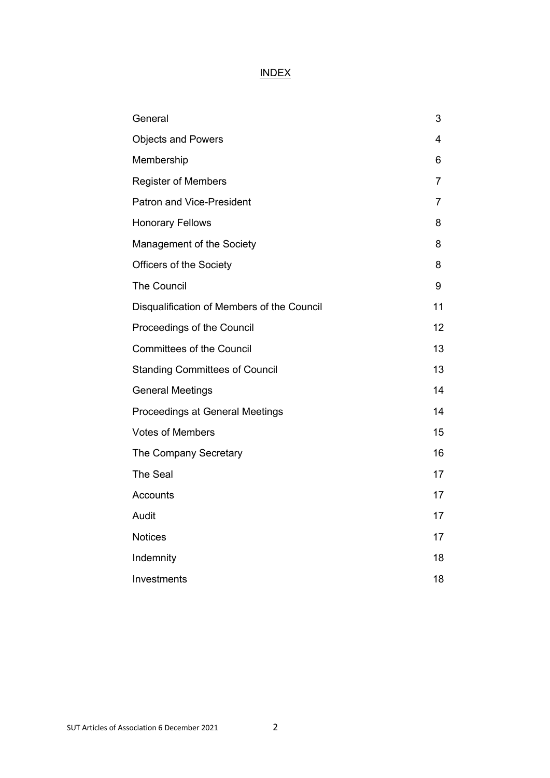# INDEX

| General                                    | 3              |
|--------------------------------------------|----------------|
| <b>Objects and Powers</b>                  | 4              |
| Membership                                 | 6              |
| <b>Register of Members</b>                 | 7              |
| <b>Patron and Vice-President</b>           | $\overline{7}$ |
| <b>Honorary Fellows</b>                    | 8              |
| Management of the Society                  | 8              |
| Officers of the Society                    | 8              |
| <b>The Council</b>                         | 9              |
| Disqualification of Members of the Council | 11             |
| Proceedings of the Council                 | 12             |
| <b>Committees of the Council</b>           | 13             |
| <b>Standing Committees of Council</b>      | 13             |
| <b>General Meetings</b>                    | 14             |
| Proceedings at General Meetings            | 14             |
| <b>Votes of Members</b>                    | 15             |
| The Company Secretary                      | 16             |
| The Seal                                   | 17             |
| Accounts                                   | 17             |
| Audit                                      | 17             |
| <b>Notices</b>                             | 17             |
| Indemnity                                  | 18             |
| Investments                                | 18             |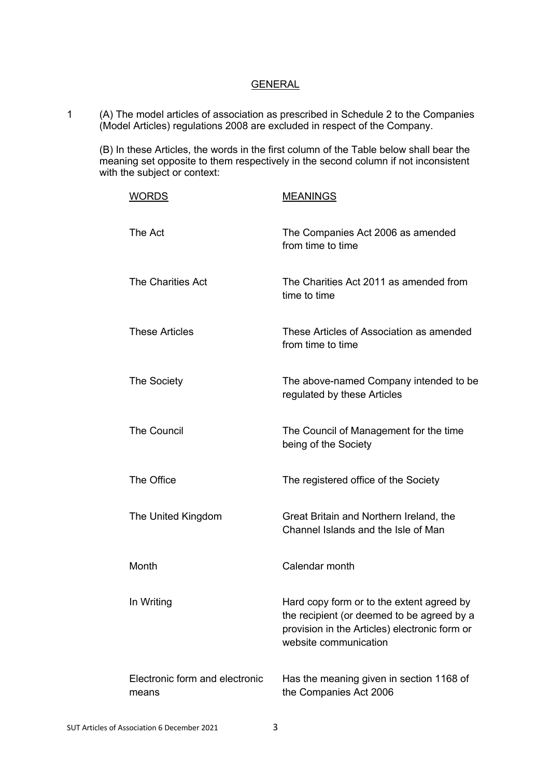### GENERAL

1 (A) The model articles of association as prescribed in Schedule 2 to the Companies (Model Articles) regulations 2008 are excluded in respect of the Company.

(B) In these Articles, the words in the first column of the Table below shall bear the meaning set opposite to them respectively in the second column if not inconsistent with the subject or context:

| <b>WORDS</b>                            | <b>MEANINGS</b>                                                                                                                                                   |
|-----------------------------------------|-------------------------------------------------------------------------------------------------------------------------------------------------------------------|
| The Act                                 | The Companies Act 2006 as amended<br>from time to time                                                                                                            |
| <b>The Charities Act</b>                | The Charities Act 2011 as amended from<br>time to time                                                                                                            |
| <b>These Articles</b>                   | These Articles of Association as amended<br>from time to time                                                                                                     |
| The Society                             | The above-named Company intended to be<br>regulated by these Articles                                                                                             |
| <b>The Council</b>                      | The Council of Management for the time<br>being of the Society                                                                                                    |
| The Office                              | The registered office of the Society                                                                                                                              |
| The United Kingdom                      | Great Britain and Northern Ireland, the<br>Channel Islands and the Isle of Man                                                                                    |
| Month                                   | Calendar month                                                                                                                                                    |
| In Writing                              | Hard copy form or to the extent agreed by<br>the recipient (or deemed to be agreed by a<br>provision in the Articles) electronic form or<br>website communication |
| Electronic form and electronic<br>means | Has the meaning given in section 1168 of<br>the Companies Act 2006                                                                                                |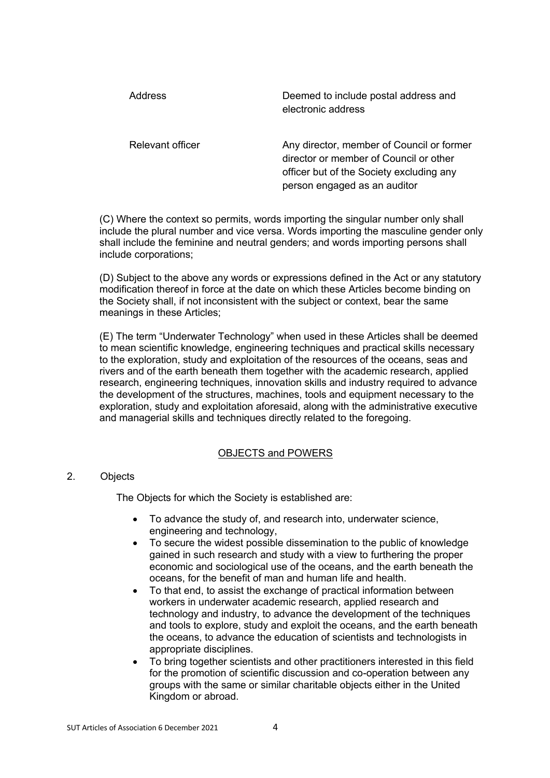| Address          | Deemed to include postal address and<br>electronic address                                                                                                      |
|------------------|-----------------------------------------------------------------------------------------------------------------------------------------------------------------|
| Relevant officer | Any director, member of Council or former<br>director or member of Council or other<br>officer but of the Society excluding any<br>person engaged as an auditor |

(C) Where the context so permits, words importing the singular number only shall include the plural number and vice versa. Words importing the masculine gender only shall include the feminine and neutral genders; and words importing persons shall include corporations;

(D) Subject to the above any words or expressions defined in the Act or any statutory modification thereof in force at the date on which these Articles become binding on the Society shall, if not inconsistent with the subject or context, bear the same meanings in these Articles;

(E) The term "Underwater Technology" when used in these Articles shall be deemed to mean scientific knowledge, engineering techniques and practical skills necessary to the exploration, study and exploitation of the resources of the oceans, seas and rivers and of the earth beneath them together with the academic research, applied research, engineering techniques, innovation skills and industry required to advance the development of the structures, machines, tools and equipment necessary to the exploration, study and exploitation aforesaid, along with the administrative executive and managerial skills and techniques directly related to the foregoing.

# OBJECTS and POWERS

# 2. Objects

The Objects for which the Society is established are:

- To advance the study of, and research into, underwater science, engineering and technology,
- To secure the widest possible dissemination to the public of knowledge gained in such research and study with a view to furthering the proper economic and sociological use of the oceans, and the earth beneath the oceans, for the benefit of man and human life and health.
- To that end, to assist the exchange of practical information between workers in underwater academic research, applied research and technology and industry, to advance the development of the techniques and tools to explore, study and exploit the oceans, and the earth beneath the oceans, to advance the education of scientists and technologists in appropriate disciplines.
- To bring together scientists and other practitioners interested in this field for the promotion of scientific discussion and co-operation between any groups with the same or similar charitable objects either in the United Kingdom or abroad.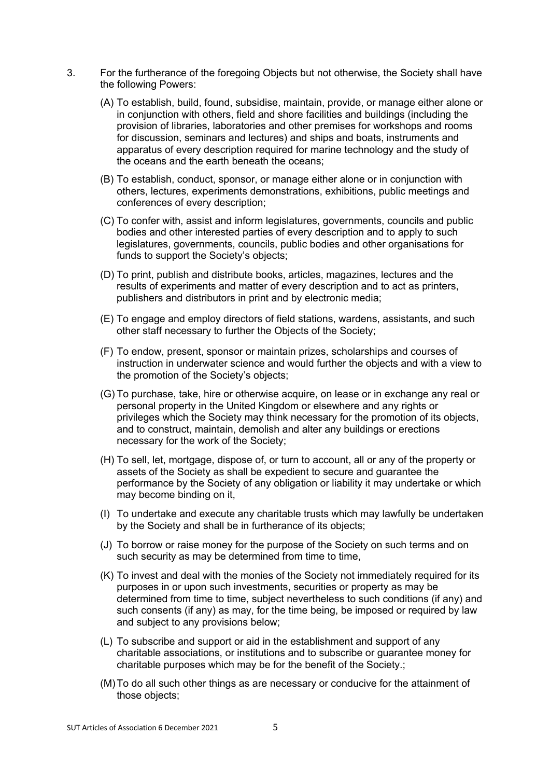- 3. For the furtherance of the foregoing Objects but not otherwise, the Society shall have the following Powers:
	- (A) To establish, build, found, subsidise, maintain, provide, or manage either alone or in conjunction with others, field and shore facilities and buildings (including the provision of libraries, laboratories and other premises for workshops and rooms for discussion, seminars and lectures) and ships and boats, instruments and apparatus of every description required for marine technology and the study of the oceans and the earth beneath the oceans;
	- (B) To establish, conduct, sponsor, or manage either alone or in conjunction with others, lectures, experiments demonstrations, exhibitions, public meetings and conferences of every description;
	- (C) To confer with, assist and inform legislatures, governments, councils and public bodies and other interested parties of every description and to apply to such legislatures, governments, councils, public bodies and other organisations for funds to support the Society's objects;
	- (D) To print, publish and distribute books, articles, magazines, lectures and the results of experiments and matter of every description and to act as printers, publishers and distributors in print and by electronic media;
	- (E) To engage and employ directors of field stations, wardens, assistants, and such other staff necessary to further the Objects of the Society;
	- (F) To endow, present, sponsor or maintain prizes, scholarships and courses of instruction in underwater science and would further the objects and with a view to the promotion of the Society's objects;
	- (G) To purchase, take, hire or otherwise acquire, on lease or in exchange any real or personal property in the United Kingdom or elsewhere and any rights or privileges which the Society may think necessary for the promotion of its objects, and to construct, maintain, demolish and alter any buildings or erections necessary for the work of the Society;
	- (H) To sell, let, mortgage, dispose of, or turn to account, all or any of the property or assets of the Society as shall be expedient to secure and guarantee the performance by the Society of any obligation or liability it may undertake or which may become binding on it,
	- (I) To undertake and execute any charitable trusts which may lawfully be undertaken by the Society and shall be in furtherance of its objects;
	- (J) To borrow or raise money for the purpose of the Society on such terms and on such security as may be determined from time to time,
	- (K) To invest and deal with the monies of the Society not immediately required for its purposes in or upon such investments, securities or property as may be determined from time to time, subject nevertheless to such conditions (if any) and such consents (if any) as may, for the time being, be imposed or required by law and subject to any provisions below;
	- (L) To subscribe and support or aid in the establishment and support of any charitable associations, or institutions and to subscribe or guarantee money for charitable purposes which may be for the benefit of the Society.;
	- (M)To do all such other things as are necessary or conducive for the attainment of those objects;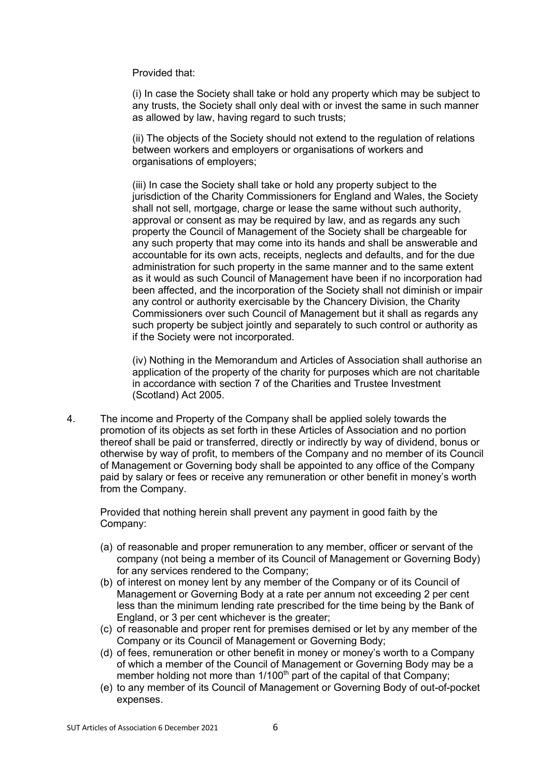Provided that:

(i) In case the Society shall take or hold any property which may be subject to any trusts, the Society shall only deal with or invest the same in such manner as allowed by law, having regard to such trusts;

(ii) The objects of the Society should not extend to the regulation of relations between workers and employers or organisations of workers and organisations of employers;

(iii) In case the Society shall take or hold any property subject to the jurisdiction of the Charity Commissioners for England and Wales, the Society shall not sell, mortgage, charge or lease the same without such authority, approval or consent as may be required by law, and as regards any such property the Council of Management of the Society shall be chargeable for any such property that may come into its hands and shall be answerable and accountable for its own acts, receipts, neglects and defaults, and for the due administration for such property in the same manner and to the same extent as it would as such Council of Management have been if no incorporation had been affected, and the incorporation of the Society shall not diminish or impair any control or authority exercisable by the Chancery Division, the Charity Commissioners over such Council of Management but it shall as regards any such property be subject jointly and separately to such control or authority as if the Society were not incorporated.

(iv) Nothing in the Memorandum and Articles of Association shall authorise an application of the property of the charity for purposes which are not charitable in accordance with section 7 of the Charities and Trustee Investment (Scotland) Act 2005.

4. The income and Property of the Company shall be applied solely towards the promotion of its objects as set forth in these Articles of Association and no portion thereof shall be paid or transferred, directly or indirectly by way of dividend, bonus or otherwise by way of profit, to members of the Company and no member of its Council of Management or Governing body shall be appointed to any office of the Company paid by salary or fees or receive any remuneration or other benefit in money's worth from the Company.

Provided that nothing herein shall prevent any payment in good faith by the Company:

- (a) of reasonable and proper remuneration to any member, officer or servant of the company (not being a member of its Council of Management or Governing Body) for any services rendered to the Company;
- (b) of interest on money lent by any member of the Company or of its Council of Management or Governing Body at a rate per annum not exceeding 2 per cent less than the minimum lending rate prescribed for the time being by the Bank of England, or 3 per cent whichever is the greater;
- (c) of reasonable and proper rent for premises demised or let by any member of the Company or its Council of Management or Governing Body;
- (d) of fees, remuneration or other benefit in money or money's worth to a Company of which a member of the Council of Management or Governing Body may be a member holding not more than  $1/100<sup>th</sup>$  part of the capital of that Company;
- (e) to any member of its Council of Management or Governing Body of out-of-pocket expenses.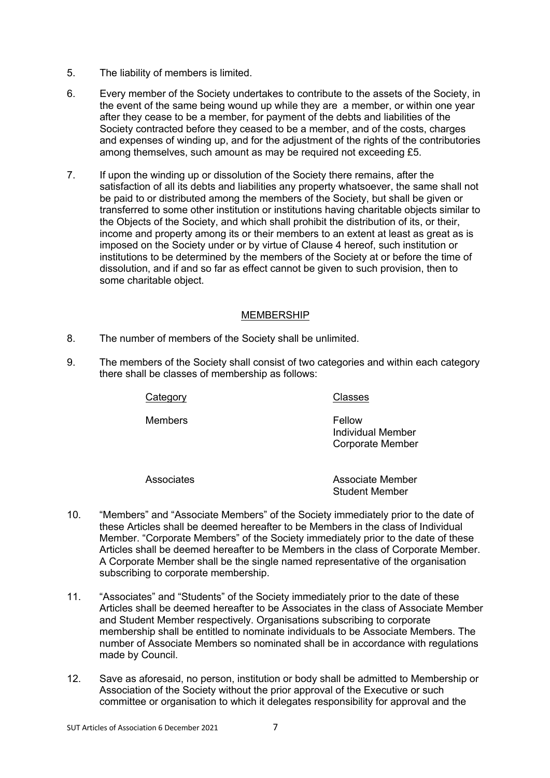- 5. The liability of members is limited.
- 6. Every member of the Society undertakes to contribute to the assets of the Society, in the event of the same being wound up while they are a member, or within one year after they cease to be a member, for payment of the debts and liabilities of the Society contracted before they ceased to be a member, and of the costs, charges and expenses of winding up, and for the adjustment of the rights of the contributories among themselves, such amount as may be required not exceeding £5.
- 7. If upon the winding up or dissolution of the Society there remains, after the satisfaction of all its debts and liabilities any property whatsoever, the same shall not be paid to or distributed among the members of the Society, but shall be given or transferred to some other institution or institutions having charitable objects similar to the Objects of the Society, and which shall prohibit the distribution of its, or their, income and property among its or their members to an extent at least as great as is imposed on the Society under or by virtue of Clause 4 hereof, such institution or institutions to be determined by the members of the Society at or before the time of dissolution, and if and so far as effect cannot be given to such provision, then to some charitable object.

### MEMBERSHIP

- 8. The number of members of the Society shall be unlimited.
- 9. The members of the Society shall consist of two categories and within each category there shall be classes of membership as follows:

Category Classes

Members **Fellow** 

Individual Member Corporate Member

Associates Associate Member Student Member

- 10. "Members" and "Associate Members" of the Society immediately prior to the date of these Articles shall be deemed hereafter to be Members in the class of Individual Member. "Corporate Members" of the Society immediately prior to the date of these Articles shall be deemed hereafter to be Members in the class of Corporate Member. A Corporate Member shall be the single named representative of the organisation subscribing to corporate membership.
- 11. "Associates" and "Students" of the Society immediately prior to the date of these Articles shall be deemed hereafter to be Associates in the class of Associate Member and Student Member respectively. Organisations subscribing to corporate membership shall be entitled to nominate individuals to be Associate Members. The number of Associate Members so nominated shall be in accordance with regulations made by Council.
- 12. Save as aforesaid, no person, institution or body shall be admitted to Membership or Association of the Society without the prior approval of the Executive or such committee or organisation to which it delegates responsibility for approval and the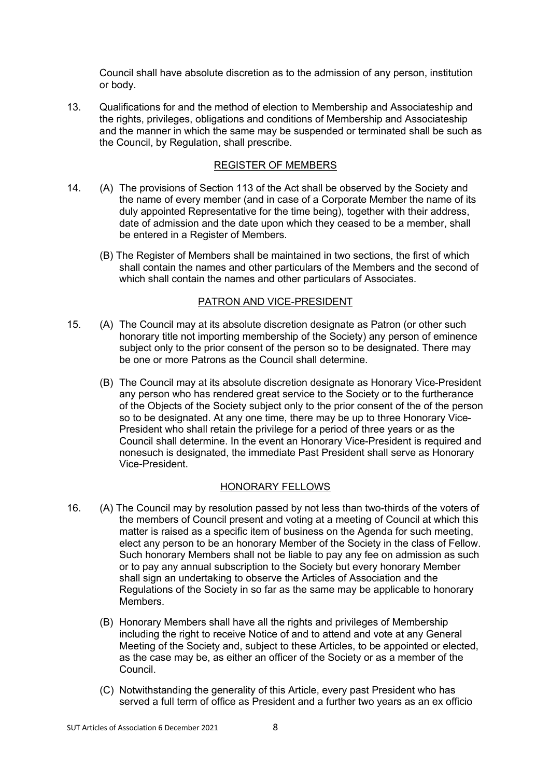Council shall have absolute discretion as to the admission of any person, institution or body.

13. Qualifications for and the method of election to Membership and Associateship and the rights, privileges, obligations and conditions of Membership and Associateship and the manner in which the same may be suspended or terminated shall be such as the Council, by Regulation, shall prescribe.

# REGISTER OF MEMBERS

- 14. (A) The provisions of Section 113 of the Act shall be observed by the Society and the name of every member (and in case of a Corporate Member the name of its duly appointed Representative for the time being), together with their address, date of admission and the date upon which they ceased to be a member, shall be entered in a Register of Members.
	- (B) The Register of Members shall be maintained in two sections, the first of which shall contain the names and other particulars of the Members and the second of which shall contain the names and other particulars of Associates.

### PATRON AND VICE-PRESIDENT

- 15. (A) The Council may at its absolute discretion designate as Patron (or other such honorary title not importing membership of the Society) any person of eminence subject only to the prior consent of the person so to be designated. There may be one or more Patrons as the Council shall determine.
	- (B) The Council may at its absolute discretion designate as Honorary Vice-President any person who has rendered great service to the Society or to the furtherance of the Objects of the Society subject only to the prior consent of the of the person so to be designated. At any one time, there may be up to three Honorary Vice-President who shall retain the privilege for a period of three years or as the Council shall determine. In the event an Honorary Vice-President is required and nonesuch is designated, the immediate Past President shall serve as Honorary Vice-President.

# HONORARY FELLOWS

- 16. (A) The Council may by resolution passed by not less than two-thirds of the voters of the members of Council present and voting at a meeting of Council at which this matter is raised as a specific item of business on the Agenda for such meeting, elect any person to be an honorary Member of the Society in the class of Fellow. Such honorary Members shall not be liable to pay any fee on admission as such or to pay any annual subscription to the Society but every honorary Member shall sign an undertaking to observe the Articles of Association and the Regulations of the Society in so far as the same may be applicable to honorary Members.
	- (B) Honorary Members shall have all the rights and privileges of Membership including the right to receive Notice of and to attend and vote at any General Meeting of the Society and, subject to these Articles, to be appointed or elected, as the case may be, as either an officer of the Society or as a member of the Council.
	- (C) Notwithstanding the generality of this Article, every past President who has served a full term of office as President and a further two years as an ex officio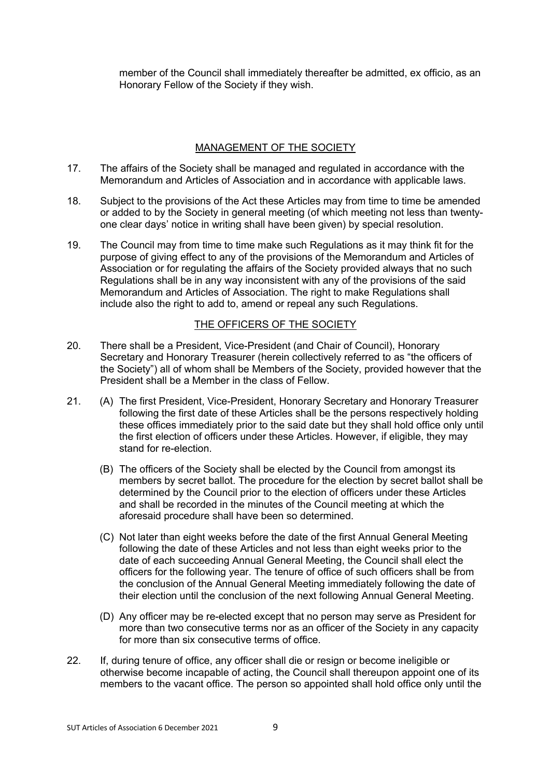member of the Council shall immediately thereafter be admitted, ex officio, as an Honorary Fellow of the Society if they wish.

# MANAGEMENT OF THE SOCIETY

- 17. The affairs of the Society shall be managed and regulated in accordance with the Memorandum and Articles of Association and in accordance with applicable laws.
- 18. Subject to the provisions of the Act these Articles may from time to time be amended or added to by the Society in general meeting (of which meeting not less than twentyone clear days' notice in writing shall have been given) by special resolution.
- 19. The Council may from time to time make such Regulations as it may think fit for the purpose of giving effect to any of the provisions of the Memorandum and Articles of Association or for regulating the affairs of the Society provided always that no such Regulations shall be in any way inconsistent with any of the provisions of the said Memorandum and Articles of Association. The right to make Regulations shall include also the right to add to, amend or repeal any such Regulations.

# THE OFFICERS OF THE SOCIETY

- 20. There shall be a President, Vice-President (and Chair of Council), Honorary Secretary and Honorary Treasurer (herein collectively referred to as "the officers of the Society") all of whom shall be Members of the Society, provided however that the President shall be a Member in the class of Fellow.
- 21. (A) The first President, Vice-President, Honorary Secretary and Honorary Treasurer following the first date of these Articles shall be the persons respectively holding these offices immediately prior to the said date but they shall hold office only until the first election of officers under these Articles. However, if eligible, they may stand for re-election.
	- (B) The officers of the Society shall be elected by the Council from amongst its members by secret ballot. The procedure for the election by secret ballot shall be determined by the Council prior to the election of officers under these Articles and shall be recorded in the minutes of the Council meeting at which the aforesaid procedure shall have been so determined.
	- (C) Not later than eight weeks before the date of the first Annual General Meeting following the date of these Articles and not less than eight weeks prior to the date of each succeeding Annual General Meeting, the Council shall elect the officers for the following year. The tenure of office of such officers shall be from the conclusion of the Annual General Meeting immediately following the date of their election until the conclusion of the next following Annual General Meeting.
	- (D) Any officer may be re-elected except that no person may serve as President for more than two consecutive terms nor as an officer of the Society in any capacity for more than six consecutive terms of office.
- 22. If, during tenure of office, any officer shall die or resign or become ineligible or otherwise become incapable of acting, the Council shall thereupon appoint one of its members to the vacant office. The person so appointed shall hold office only until the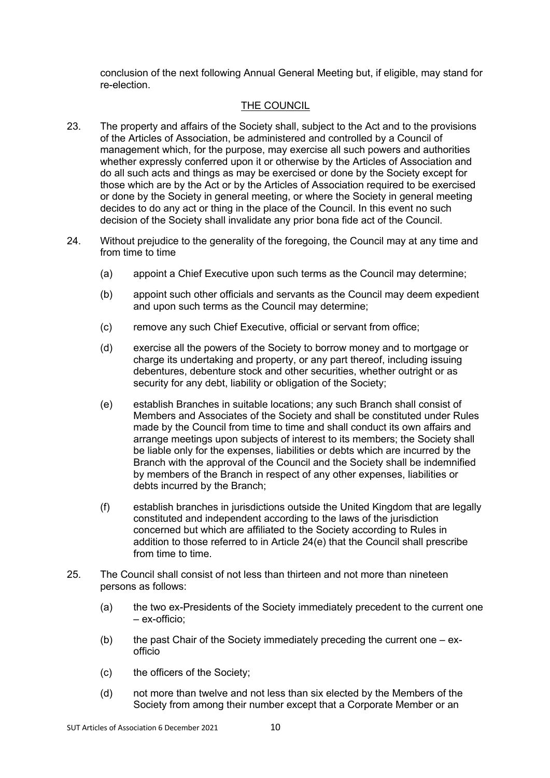conclusion of the next following Annual General Meeting but, if eligible, may stand for re-election.

### THE COUNCIL

- 23. The property and affairs of the Society shall, subject to the Act and to the provisions of the Articles of Association, be administered and controlled by a Council of management which, for the purpose, may exercise all such powers and authorities whether expressly conferred upon it or otherwise by the Articles of Association and do all such acts and things as may be exercised or done by the Society except for those which are by the Act or by the Articles of Association required to be exercised or done by the Society in general meeting, or where the Society in general meeting decides to do any act or thing in the place of the Council. In this event no such decision of the Society shall invalidate any prior bona fide act of the Council.
- 24. Without prejudice to the generality of the foregoing, the Council may at any time and from time to time
	- (a) appoint a Chief Executive upon such terms as the Council may determine;
	- (b) appoint such other officials and servants as the Council may deem expedient and upon such terms as the Council may determine;
	- (c) remove any such Chief Executive, official or servant from office;
	- (d) exercise all the powers of the Society to borrow money and to mortgage or charge its undertaking and property, or any part thereof, including issuing debentures, debenture stock and other securities, whether outright or as security for any debt, liability or obligation of the Society;
	- (e) establish Branches in suitable locations; any such Branch shall consist of Members and Associates of the Society and shall be constituted under Rules made by the Council from time to time and shall conduct its own affairs and arrange meetings upon subjects of interest to its members; the Society shall be liable only for the expenses, liabilities or debts which are incurred by the Branch with the approval of the Council and the Society shall be indemnified by members of the Branch in respect of any other expenses, liabilities or debts incurred by the Branch;
	- (f) establish branches in jurisdictions outside the United Kingdom that are legally constituted and independent according to the laws of the jurisdiction concerned but which are affiliated to the Society according to Rules in addition to those referred to in Article 24(e) that the Council shall prescribe from time to time.
- 25. The Council shall consist of not less than thirteen and not more than nineteen persons as follows:
	- (a) the two ex-Presidents of the Society immediately precedent to the current one – ex-officio;
	- (b) the past Chair of the Society immediately preceding the current one  $e x$ officio
	- (c) the officers of the Society;
	- (d) not more than twelve and not less than six elected by the Members of the Society from among their number except that a Corporate Member or an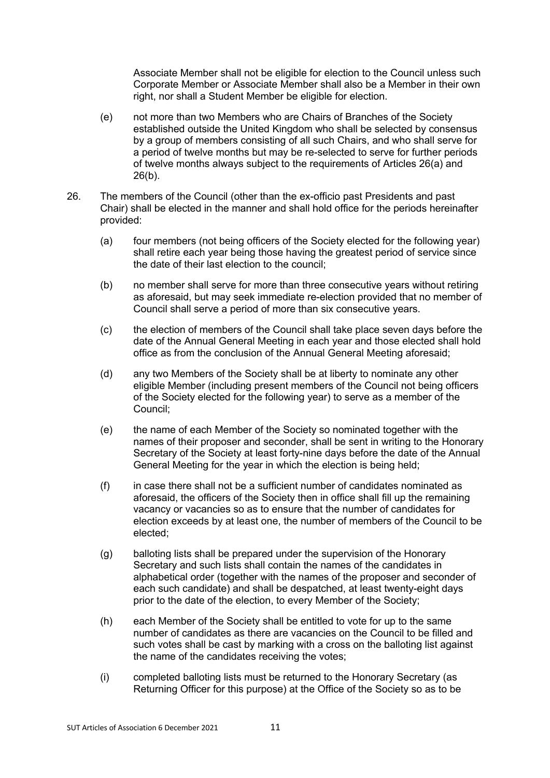Associate Member shall not be eligible for election to the Council unless such Corporate Member or Associate Member shall also be a Member in their own right, nor shall a Student Member be eligible for election.

- (e) not more than two Members who are Chairs of Branches of the Society established outside the United Kingdom who shall be selected by consensus by a group of members consisting of all such Chairs, and who shall serve for a period of twelve months but may be re-selected to serve for further periods of twelve months always subject to the requirements of Articles 26(a) and 26(b).
- 26. The members of the Council (other than the ex-officio past Presidents and past Chair) shall be elected in the manner and shall hold office for the periods hereinafter provided:
	- (a) four members (not being officers of the Society elected for the following year) shall retire each year being those having the greatest period of service since the date of their last election to the council;
	- (b) no member shall serve for more than three consecutive years without retiring as aforesaid, but may seek immediate re-election provided that no member of Council shall serve a period of more than six consecutive years.
	- (c) the election of members of the Council shall take place seven days before the date of the Annual General Meeting in each year and those elected shall hold office as from the conclusion of the Annual General Meeting aforesaid;
	- (d) any two Members of the Society shall be at liberty to nominate any other eligible Member (including present members of the Council not being officers of the Society elected for the following year) to serve as a member of the Council;
	- (e) the name of each Member of the Society so nominated together with the names of their proposer and seconder, shall be sent in writing to the Honorary Secretary of the Society at least forty-nine days before the date of the Annual General Meeting for the year in which the election is being held;
	- (f) in case there shall not be a sufficient number of candidates nominated as aforesaid, the officers of the Society then in office shall fill up the remaining vacancy or vacancies so as to ensure that the number of candidates for election exceeds by at least one, the number of members of the Council to be elected;
	- (g) balloting lists shall be prepared under the supervision of the Honorary Secretary and such lists shall contain the names of the candidates in alphabetical order (together with the names of the proposer and seconder of each such candidate) and shall be despatched, at least twenty-eight days prior to the date of the election, to every Member of the Society;
	- (h) each Member of the Society shall be entitled to vote for up to the same number of candidates as there are vacancies on the Council to be filled and such votes shall be cast by marking with a cross on the balloting list against the name of the candidates receiving the votes;
	- (i) completed balloting lists must be returned to the Honorary Secretary (as Returning Officer for this purpose) at the Office of the Society so as to be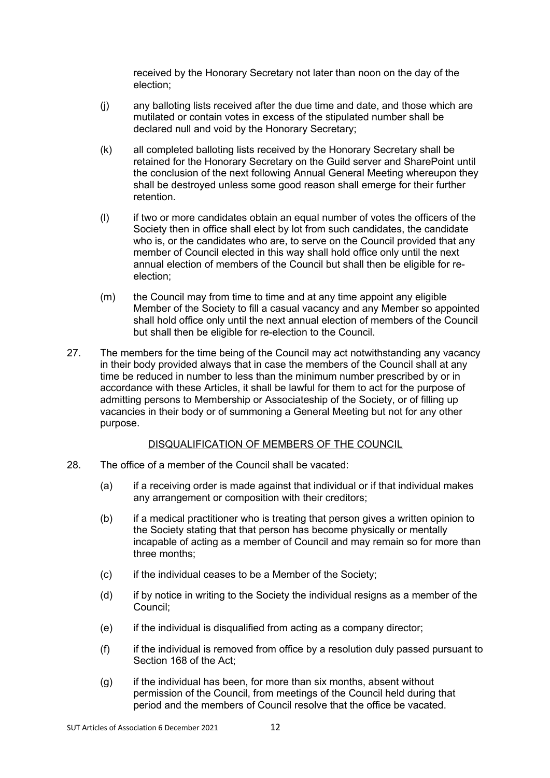received by the Honorary Secretary not later than noon on the day of the election;

- (j) any balloting lists received after the due time and date, and those which are mutilated or contain votes in excess of the stipulated number shall be declared null and void by the Honorary Secretary;
- (k) all completed balloting lists received by the Honorary Secretary shall be retained for the Honorary Secretary on the Guild server and SharePoint until the conclusion of the next following Annual General Meeting whereupon they shall be destroyed unless some good reason shall emerge for their further retention.
- (l) if two or more candidates obtain an equal number of votes the officers of the Society then in office shall elect by lot from such candidates, the candidate who is, or the candidates who are, to serve on the Council provided that any member of Council elected in this way shall hold office only until the next annual election of members of the Council but shall then be eligible for reelection;
- (m) the Council may from time to time and at any time appoint any eligible Member of the Society to fill a casual vacancy and any Member so appointed shall hold office only until the next annual election of members of the Council but shall then be eligible for re-election to the Council.
- 27. The members for the time being of the Council may act notwithstanding any vacancy in their body provided always that in case the members of the Council shall at any time be reduced in number to less than the minimum number prescribed by or in accordance with these Articles, it shall be lawful for them to act for the purpose of admitting persons to Membership or Associateship of the Society, or of filling up vacancies in their body or of summoning a General Meeting but not for any other purpose.

# DISQUALIFICATION OF MEMBERS OF THE COUNCIL

- 28. The office of a member of the Council shall be vacated:
	- (a) if a receiving order is made against that individual or if that individual makes any arrangement or composition with their creditors;
	- (b) if a medical practitioner who is treating that person gives a written opinion to the Society stating that that person has become physically or mentally incapable of acting as a member of Council and may remain so for more than three months;
	- (c) if the individual ceases to be a Member of the Society;
	- (d) if by notice in writing to the Society the individual resigns as a member of the Council;
	- (e) if the individual is disqualified from acting as a company director;
	- (f) if the individual is removed from office by a resolution duly passed pursuant to Section 168 of the Act;
	- (g) if the individual has been, for more than six months, absent without permission of the Council, from meetings of the Council held during that period and the members of Council resolve that the office be vacated.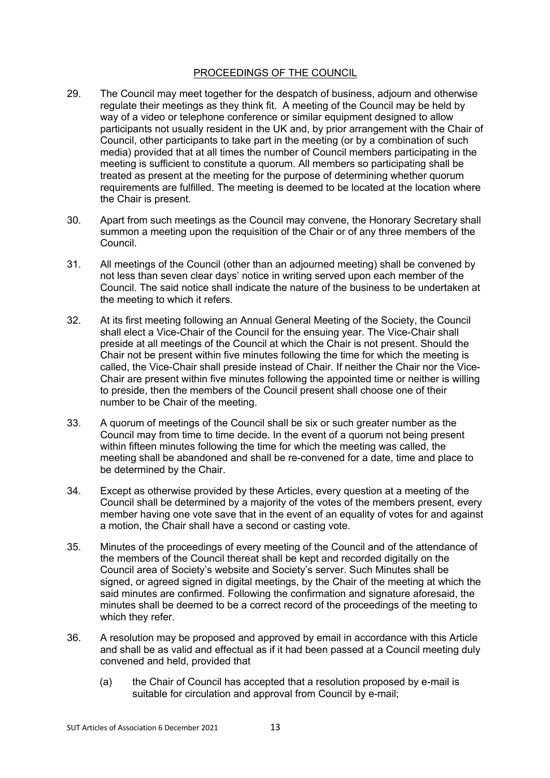### PROCEEDINGS OF THE COUNCIL

- 29. The Council may meet together for the despatch of business, adjourn and otherwise regulate their meetings as they think fit. A meeting of the Council may be held by way of a video or telephone conference or similar equipment designed to allow participants not usually resident in the UK and, by prior arrangement with the Chair of Council, other participants to take part in the meeting (or by a combination of such media) provided that at all times the number of Council members participating in the meeting is sufficient to constitute a quorum. All members so participating shall be treated as present at the meeting for the purpose of determining whether quorum requirements are fulfilled. The meeting is deemed to be located at the location where the Chair is present.
- 30. Apart from such meetings as the Council may convene, the Honorary Secretary shall summon a meeting upon the requisition of the Chair or of any three members of the Council.
- 31. All meetings of the Council (other than an adjourned meeting) shall be convened by not less than seven clear days' notice in writing served upon each member of the Council. The said notice shall indicate the nature of the business to be undertaken at the meeting to which it refers.
- 32. At its first meeting following an Annual General Meeting of the Society, the Council shall elect a Vice-Chair of the Council for the ensuing year. The Vice-Chair shall preside at all meetings of the Council at which the Chair is not present. Should the Chair not be present within five minutes following the time for which the meeting is called, the Vice-Chair shall preside instead of Chair. If neither the Chair nor the Vice-Chair are present within five minutes following the appointed time or neither is willing to preside, then the members of the Council present shall choose one of their number to be Chair of the meeting.
- 33. A quorum of meetings of the Council shall be six or such greater number as the Council may from time to time decide. In the event of a quorum not being present within fifteen minutes following the time for which the meeting was called, the meeting shall be abandoned and shall be re-convened for a date, time and place to be determined by the Chair.
- 34. Except as otherwise provided by these Articles, every question at a meeting of the Council shall be determined by a majority of the votes of the members present, every member having one vote save that in the event of an equality of votes for and against a motion, the Chair shall have a second or casting vote.
- 35. Minutes of the proceedings of every meeting of the Council and of the attendance of the members of the Council thereat shall be kept and recorded digitally on the Council area of Society's website and Society's server. Such Minutes shall be signed, or agreed signed in digital meetings, by the Chair of the meeting at which the said minutes are confirmed. Following the confirmation and signature aforesaid, the minutes shall be deemed to be a correct record of the proceedings of the meeting to which they refer.
- 36. A resolution may be proposed and approved by email in accordance with this Article and shall be as valid and effectual as if it had been passed at a Council meeting duly convened and held, provided that
	- (a) the Chair of Council has accepted that a resolution proposed by e-mail is suitable for circulation and approval from Council by e-mail;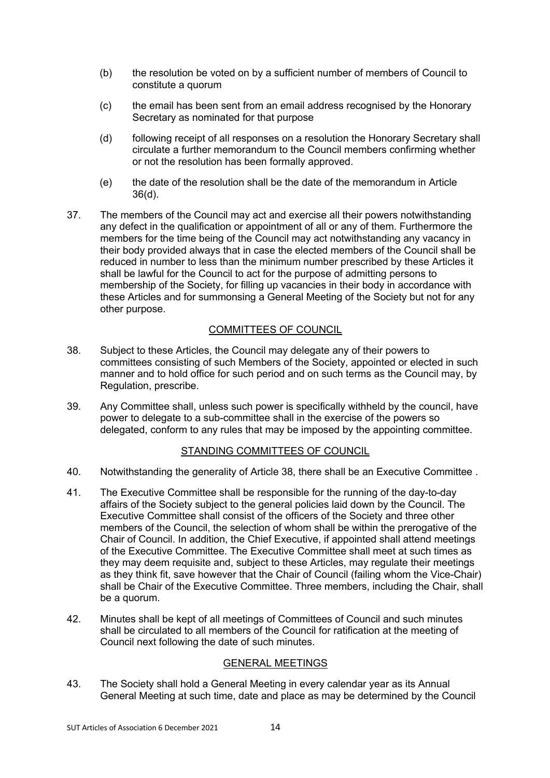- (b) the resolution be voted on by a sufficient number of members of Council to constitute a quorum
- (c) the email has been sent from an email address recognised by the Honorary Secretary as nominated for that purpose
- (d) following receipt of all responses on a resolution the Honorary Secretary shall circulate a further memorandum to the Council members confirming whether or not the resolution has been formally approved.
- (e) the date of the resolution shall be the date of the memorandum in Article 36(d).
- 37. The members of the Council may act and exercise all their powers notwithstanding any defect in the qualification or appointment of all or any of them. Furthermore the members for the time being of the Council may act notwithstanding any vacancy in their body provided always that in case the elected members of the Council shall be reduced in number to less than the minimum number prescribed by these Articles it shall be lawful for the Council to act for the purpose of admitting persons to membership of the Society, for filling up vacancies in their body in accordance with these Articles and for summonsing a General Meeting of the Society but not for any other purpose.

# COMMITTEES OF COUNCIL

- 38. Subject to these Articles, the Council may delegate any of their powers to committees consisting of such Members of the Society, appointed or elected in such manner and to hold office for such period and on such terms as the Council may, by Regulation, prescribe.
- 39. Any Committee shall, unless such power is specifically withheld by the council, have power to delegate to a sub-committee shall in the exercise of the powers so delegated, conform to any rules that may be imposed by the appointing committee.

# STANDING COMMITTEES OF COUNCIL

- 40. Notwithstanding the generality of Article 38, there shall be an Executive Committee .
- 41. The Executive Committee shall be responsible for the running of the day-to-day affairs of the Society subject to the general policies laid down by the Council. The Executive Committee shall consist of the officers of the Society and three other members of the Council, the selection of whom shall be within the prerogative of the Chair of Council. In addition, the Chief Executive, if appointed shall attend meetings of the Executive Committee. The Executive Committee shall meet at such times as they may deem requisite and, subject to these Articles, may regulate their meetings as they think fit, save however that the Chair of Council (failing whom the Vice-Chair) shall be Chair of the Executive Committee. Three members, including the Chair, shall be a quorum.
- 42. Minutes shall be kept of all meetings of Committees of Council and such minutes shall be circulated to all members of the Council for ratification at the meeting of Council next following the date of such minutes.

# GENERAL MEETINGS

43. The Society shall hold a General Meeting in every calendar year as its Annual General Meeting at such time, date and place as may be determined by the Council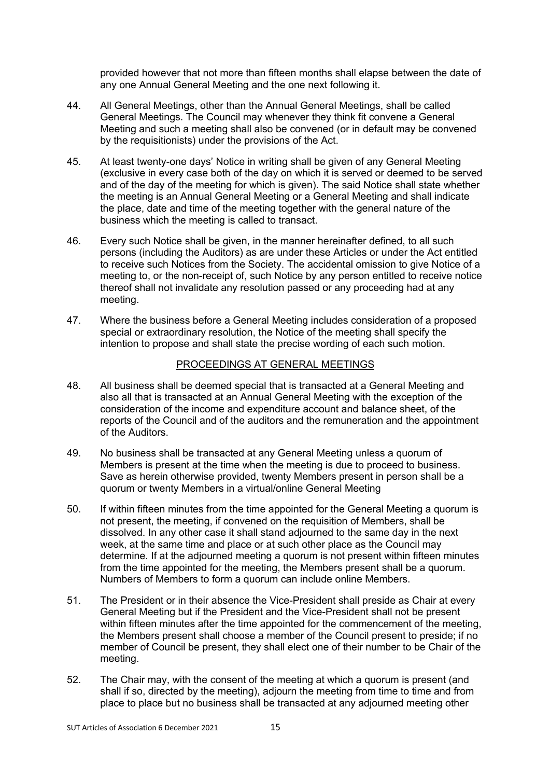provided however that not more than fifteen months shall elapse between the date of any one Annual General Meeting and the one next following it.

- 44. All General Meetings, other than the Annual General Meetings, shall be called General Meetings. The Council may whenever they think fit convene a General Meeting and such a meeting shall also be convened (or in default may be convened by the requisitionists) under the provisions of the Act.
- 45. At least twenty-one days' Notice in writing shall be given of any General Meeting (exclusive in every case both of the day on which it is served or deemed to be served and of the day of the meeting for which is given). The said Notice shall state whether the meeting is an Annual General Meeting or a General Meeting and shall indicate the place, date and time of the meeting together with the general nature of the business which the meeting is called to transact.
- 46. Every such Notice shall be given, in the manner hereinafter defined, to all such persons (including the Auditors) as are under these Articles or under the Act entitled to receive such Notices from the Society. The accidental omission to give Notice of a meeting to, or the non-receipt of, such Notice by any person entitled to receive notice thereof shall not invalidate any resolution passed or any proceeding had at any meeting.
- 47. Where the business before a General Meeting includes consideration of a proposed special or extraordinary resolution, the Notice of the meeting shall specify the intention to propose and shall state the precise wording of each such motion.

### PROCEEDINGS AT GENERAL MEETINGS

- 48. All business shall be deemed special that is transacted at a General Meeting and also all that is transacted at an Annual General Meeting with the exception of the consideration of the income and expenditure account and balance sheet, of the reports of the Council and of the auditors and the remuneration and the appointment of the Auditors.
- 49. No business shall be transacted at any General Meeting unless a quorum of Members is present at the time when the meeting is due to proceed to business. Save as herein otherwise provided, twenty Members present in person shall be a quorum or twenty Members in a virtual/online General Meeting
- 50. If within fifteen minutes from the time appointed for the General Meeting a quorum is not present, the meeting, if convened on the requisition of Members, shall be dissolved. In any other case it shall stand adjourned to the same day in the next week, at the same time and place or at such other place as the Council may determine. If at the adjourned meeting a quorum is not present within fifteen minutes from the time appointed for the meeting, the Members present shall be a quorum. Numbers of Members to form a quorum can include online Members.
- 51. The President or in their absence the Vice-President shall preside as Chair at every General Meeting but if the President and the Vice-President shall not be present within fifteen minutes after the time appointed for the commencement of the meeting, the Members present shall choose a member of the Council present to preside; if no member of Council be present, they shall elect one of their number to be Chair of the meeting.
- 52. The Chair may, with the consent of the meeting at which a quorum is present (and shall if so, directed by the meeting), adjourn the meeting from time to time and from place to place but no business shall be transacted at any adjourned meeting other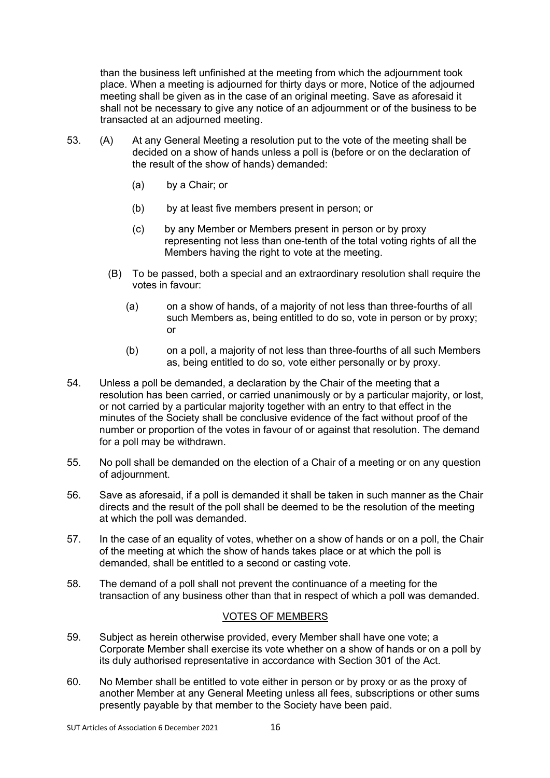than the business left unfinished at the meeting from which the adjournment took place. When a meeting is adjourned for thirty days or more, Notice of the adjourned meeting shall be given as in the case of an original meeting. Save as aforesaid it shall not be necessary to give any notice of an adjournment or of the business to be transacted at an adjourned meeting.

- 53. (A) At any General Meeting a resolution put to the vote of the meeting shall be decided on a show of hands unless a poll is (before or on the declaration of the result of the show of hands) demanded:
	- (a) by a Chair; or
	- (b) by at least five members present in person; or
	- (c) by any Member or Members present in person or by proxy representing not less than one-tenth of the total voting rights of all the Members having the right to vote at the meeting.
	- (B) To be passed, both a special and an extraordinary resolution shall require the votes in favour:
		- (a) on a show of hands, of a majority of not less than three-fourths of all such Members as, being entitled to do so, vote in person or by proxy; or
		- (b) on a poll, a majority of not less than three-fourths of all such Members as, being entitled to do so, vote either personally or by proxy.
- 54. Unless a poll be demanded, a declaration by the Chair of the meeting that a resolution has been carried, or carried unanimously or by a particular majority, or lost, or not carried by a particular majority together with an entry to that effect in the minutes of the Society shall be conclusive evidence of the fact without proof of the number or proportion of the votes in favour of or against that resolution. The demand for a poll may be withdrawn.
- 55. No poll shall be demanded on the election of a Chair of a meeting or on any question of adjournment.
- 56. Save as aforesaid, if a poll is demanded it shall be taken in such manner as the Chair directs and the result of the poll shall be deemed to be the resolution of the meeting at which the poll was demanded.
- 57. In the case of an equality of votes, whether on a show of hands or on a poll, the Chair of the meeting at which the show of hands takes place or at which the poll is demanded, shall be entitled to a second or casting vote.
- 58. The demand of a poll shall not prevent the continuance of a meeting for the transaction of any business other than that in respect of which a poll was demanded.

# VOTES OF MEMBERS

- 59. Subject as herein otherwise provided, every Member shall have one vote; a Corporate Member shall exercise its vote whether on a show of hands or on a poll by its duly authorised representative in accordance with Section 301 of the Act.
- 60. No Member shall be entitled to vote either in person or by proxy or as the proxy of another Member at any General Meeting unless all fees, subscriptions or other sums presently payable by that member to the Society have been paid.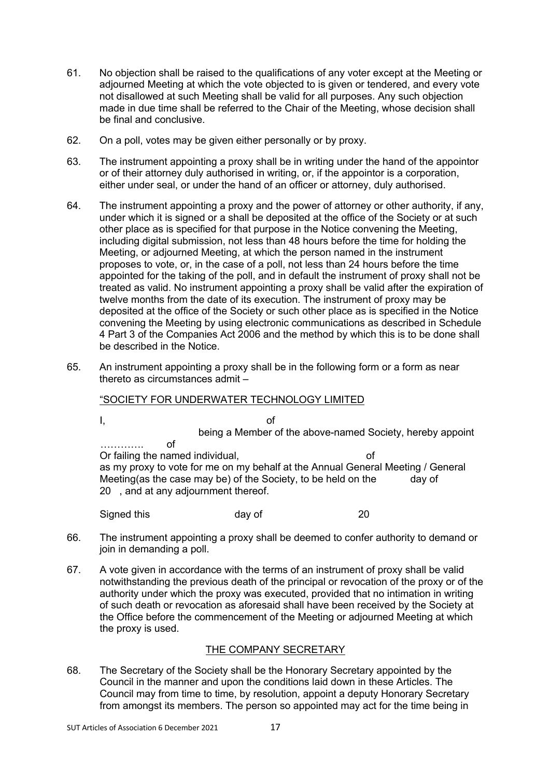- 61. No objection shall be raised to the qualifications of any voter except at the Meeting or adjourned Meeting at which the vote objected to is given or tendered, and every vote not disallowed at such Meeting shall be valid for all purposes. Any such objection made in due time shall be referred to the Chair of the Meeting, whose decision shall be final and conclusive.
- 62. On a poll, votes may be given either personally or by proxy.
- 63. The instrument appointing a proxy shall be in writing under the hand of the appointor or of their attorney duly authorised in writing, or, if the appointor is a corporation, either under seal, or under the hand of an officer or attorney, duly authorised.
- 64. The instrument appointing a proxy and the power of attorney or other authority, if any, under which it is signed or a shall be deposited at the office of the Society or at such other place as is specified for that purpose in the Notice convening the Meeting, including digital submission, not less than 48 hours before the time for holding the Meeting, or adjourned Meeting, at which the person named in the instrument proposes to vote, or, in the case of a poll, not less than 24 hours before the time appointed for the taking of the poll, and in default the instrument of proxy shall not be treated as valid. No instrument appointing a proxy shall be valid after the expiration of twelve months from the date of its execution. The instrument of proxy may be deposited at the office of the Society or such other place as is specified in the Notice convening the Meeting by using electronic communications as described in Schedule 4 Part 3 of the Companies Act 2006 and the method by which this is to be done shall be described in the Notice.
- 65. An instrument appointing a proxy shall be in the following form or a form as near thereto as circumstances admit –

# "SOCIETY FOR UNDERWATER TECHNOLOGY LIMITED

I, of being a Member of the above-named Society, hereby appoint …………. of Or failing the named individual, or the name of as my proxy to vote for me on my behalf at the Annual General Meeting / General Meeting(as the case may be) of the Society, to be held on the day of 20 , and at any adjournment thereof.

Signed this day of 20

- 66. The instrument appointing a proxy shall be deemed to confer authority to demand or join in demanding a poll.
- 67. A vote given in accordance with the terms of an instrument of proxy shall be valid notwithstanding the previous death of the principal or revocation of the proxy or of the authority under which the proxy was executed, provided that no intimation in writing of such death or revocation as aforesaid shall have been received by the Society at the Office before the commencement of the Meeting or adjourned Meeting at which the proxy is used.

# THE COMPANY SECRETARY

68. The Secretary of the Society shall be the Honorary Secretary appointed by the Council in the manner and upon the conditions laid down in these Articles. The Council may from time to time, by resolution, appoint a deputy Honorary Secretary from amongst its members. The person so appointed may act for the time being in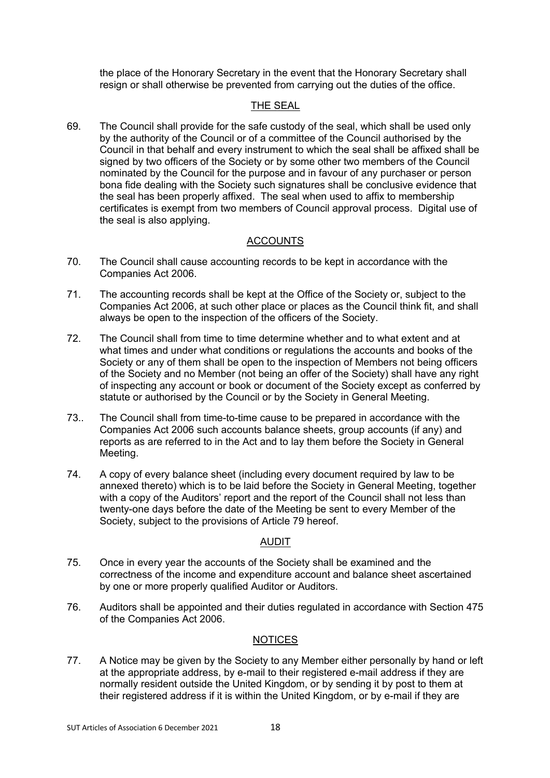the place of the Honorary Secretary in the event that the Honorary Secretary shall resign or shall otherwise be prevented from carrying out the duties of the office.

# THE SEAL

69. The Council shall provide for the safe custody of the seal, which shall be used only by the authority of the Council or of a committee of the Council authorised by the Council in that behalf and every instrument to which the seal shall be affixed shall be signed by two officers of the Society or by some other two members of the Council nominated by the Council for the purpose and in favour of any purchaser or person bona fide dealing with the Society such signatures shall be conclusive evidence that the seal has been properly affixed. The seal when used to affix to membership certificates is exempt from two members of Council approval process. Digital use of the seal is also applying.

# ACCOUNTS

- 70. The Council shall cause accounting records to be kept in accordance with the Companies Act 2006.
- 71. The accounting records shall be kept at the Office of the Society or, subject to the Companies Act 2006, at such other place or places as the Council think fit, and shall always be open to the inspection of the officers of the Society.
- 72. The Council shall from time to time determine whether and to what extent and at what times and under what conditions or regulations the accounts and books of the Society or any of them shall be open to the inspection of Members not being officers of the Society and no Member (not being an offer of the Society) shall have any right of inspecting any account or book or document of the Society except as conferred by statute or authorised by the Council or by the Society in General Meeting.
- 73.. The Council shall from time-to-time cause to be prepared in accordance with the Companies Act 2006 such accounts balance sheets, group accounts (if any) and reports as are referred to in the Act and to lay them before the Society in General Meeting.
- 74. A copy of every balance sheet (including every document required by law to be annexed thereto) which is to be laid before the Society in General Meeting, together with a copy of the Auditors' report and the report of the Council shall not less than twenty-one days before the date of the Meeting be sent to every Member of the Society, subject to the provisions of Article 79 hereof.

# AUDIT

- 75. Once in every year the accounts of the Society shall be examined and the correctness of the income and expenditure account and balance sheet ascertained by one or more properly qualified Auditor or Auditors.
- 76. Auditors shall be appointed and their duties regulated in accordance with Section 475 of the Companies Act 2006.

# NOTICES

77. A Notice may be given by the Society to any Member either personally by hand or left at the appropriate address, by e-mail to their registered e-mail address if they are normally resident outside the United Kingdom, or by sending it by post to them at their registered address if it is within the United Kingdom, or by e-mail if they are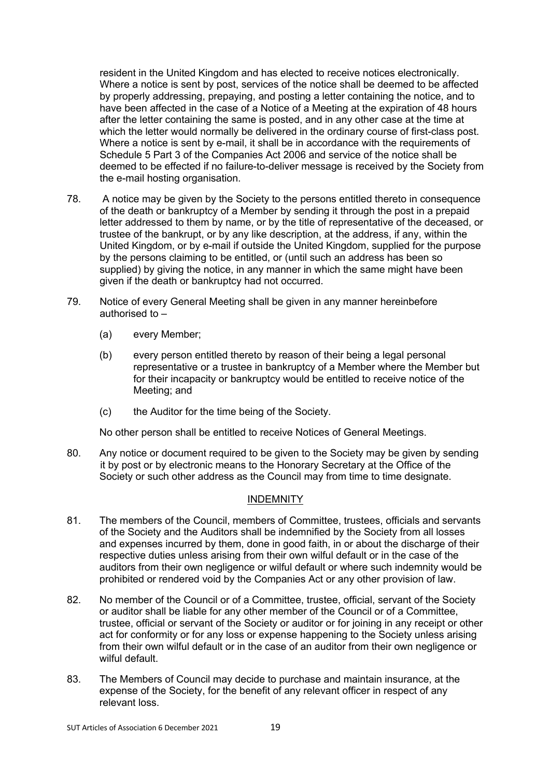resident in the United Kingdom and has elected to receive notices electronically. Where a notice is sent by post, services of the notice shall be deemed to be affected by properly addressing, prepaying, and posting a letter containing the notice, and to have been affected in the case of a Notice of a Meeting at the expiration of 48 hours after the letter containing the same is posted, and in any other case at the time at which the letter would normally be delivered in the ordinary course of first-class post. Where a notice is sent by e-mail, it shall be in accordance with the requirements of Schedule 5 Part 3 of the Companies Act 2006 and service of the notice shall be deemed to be effected if no failure-to-deliver message is received by the Society from the e-mail hosting organisation.

- 78. A notice may be given by the Society to the persons entitled thereto in consequence of the death or bankruptcy of a Member by sending it through the post in a prepaid letter addressed to them by name, or by the title of representative of the deceased, or trustee of the bankrupt, or by any like description, at the address, if any, within the United Kingdom, or by e-mail if outside the United Kingdom, supplied for the purpose by the persons claiming to be entitled, or (until such an address has been so supplied) by giving the notice, in any manner in which the same might have been given if the death or bankruptcy had not occurred.
- 79. Notice of every General Meeting shall be given in any manner hereinbefore authorised to –
	- (a) every Member;
	- (b) every person entitled thereto by reason of their being a legal personal representative or a trustee in bankruptcy of a Member where the Member but for their incapacity or bankruptcy would be entitled to receive notice of the Meeting; and
	- (c) the Auditor for the time being of the Society.

No other person shall be entitled to receive Notices of General Meetings.

80. Any notice or document required to be given to the Society may be given by sending it by post or by electronic means to the Honorary Secretary at the Office of the Society or such other address as the Council may from time to time designate.

# **INDEMNITY**

- 81. The members of the Council, members of Committee, trustees, officials and servants of the Society and the Auditors shall be indemnified by the Society from all losses and expenses incurred by them, done in good faith, in or about the discharge of their respective duties unless arising from their own wilful default or in the case of the auditors from their own negligence or wilful default or where such indemnity would be prohibited or rendered void by the Companies Act or any other provision of law.
- 82. No member of the Council or of a Committee, trustee, official, servant of the Society or auditor shall be liable for any other member of the Council or of a Committee, trustee, official or servant of the Society or auditor or for joining in any receipt or other act for conformity or for any loss or expense happening to the Society unless arising from their own wilful default or in the case of an auditor from their own negligence or wilful default.
- 83. The Members of Council may decide to purchase and maintain insurance, at the expense of the Society, for the benefit of any relevant officer in respect of any relevant loss.